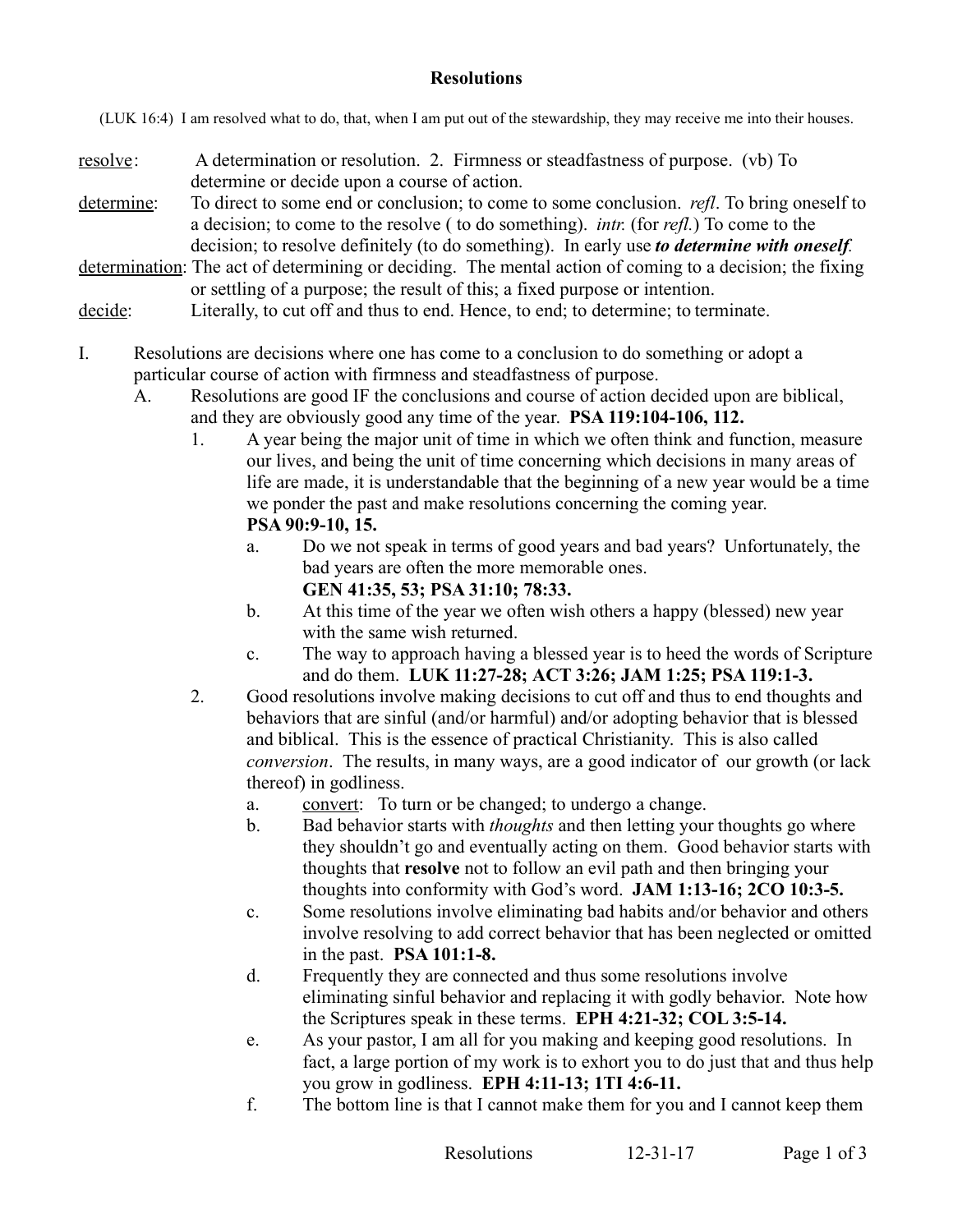## **Resolutions**

(LUK 16:4) I am resolved what to do, that, when I am put out of the stewardship, they may receive me into their houses.

- resolve: A determination or resolution. 2. Firmness or steadfastness of purpose. (vb) To determine or decide upon a course of action.
- determine: To direct to some end or conclusion; to come to some conclusion. *refl*. To bring oneself to a decision; to come to the resolve ( to do something). *intr.* (for *refl.*) To come to the decision; to resolve definitely (to do something). In early use *to determine with oneself.*
- determination: The act of determining or deciding. The mental action of coming to a decision; the fixing or settling of a purpose; the result of this; a fixed purpose or intention.
- decide: Literally, to cut off and thus to end. Hence, to end; to determine; to terminate.
- I. Resolutions are decisions where one has come to a conclusion to do something or adopt a particular course of action with firmness and steadfastness of purpose.
	- A. Resolutions are good IF the conclusions and course of action decided upon are biblical, and they are obviously good any time of the year. **PSA 119:104-106, 112.**
		- 1. A year being the major unit of time in which we often think and function, measure our lives, and being the unit of time concerning which decisions in many areas of life are made, it is understandable that the beginning of a new year would be a time we ponder the past and make resolutions concerning the coming year. **PSA 90:9-10, 15.**
			- a. Do we not speak in terms of good years and bad years? Unfortunately, the bad years are often the more memorable ones. **GEN 41:35, 53; PSA 31:10; 78:33.**
			- b. At this time of the year we often wish others a happy (blessed) new year with the same wish returned.
			- c. The way to approach having a blessed year is to heed the words of Scripture and do them. **LUK 11:27-28; ACT 3:26; JAM 1:25; PSA 119:1-3.**
		- 2. Good resolutions involve making decisions to cut off and thus to end thoughts and behaviors that are sinful (and/or harmful) and/or adopting behavior that is blessed and biblical. This is the essence of practical Christianity. This is also called *conversion*. The results, in many ways, are a good indicator of our growth (or lack thereof) in godliness.
			- a. convert: To turn or be changed; to undergo a change.
			- b. Bad behavior starts with *thoughts* and then letting your thoughts go where they shouldn't go and eventually acting on them. Good behavior starts with thoughts that **resolve** not to follow an evil path and then bringing your thoughts into conformity with God's word. **JAM 1:13-16; 2CO 10:3-5.**
			- c. Some resolutions involve eliminating bad habits and/or behavior and others involve resolving to add correct behavior that has been neglected or omitted in the past. **PSA 101:1-8.**
			- d. Frequently they are connected and thus some resolutions involve eliminating sinful behavior and replacing it with godly behavior. Note how the Scriptures speak in these terms. **EPH 4:21-32; COL 3:5-14.**
			- e. As your pastor, I am all for you making and keeping good resolutions. In fact, a large portion of my work is to exhort you to do just that and thus help you grow in godliness. **EPH 4:11-13; 1TI 4:6-11.**
			- f. The bottom line is that I cannot make them for you and I cannot keep them

Resolutions 12-31-17 Page 1 of 3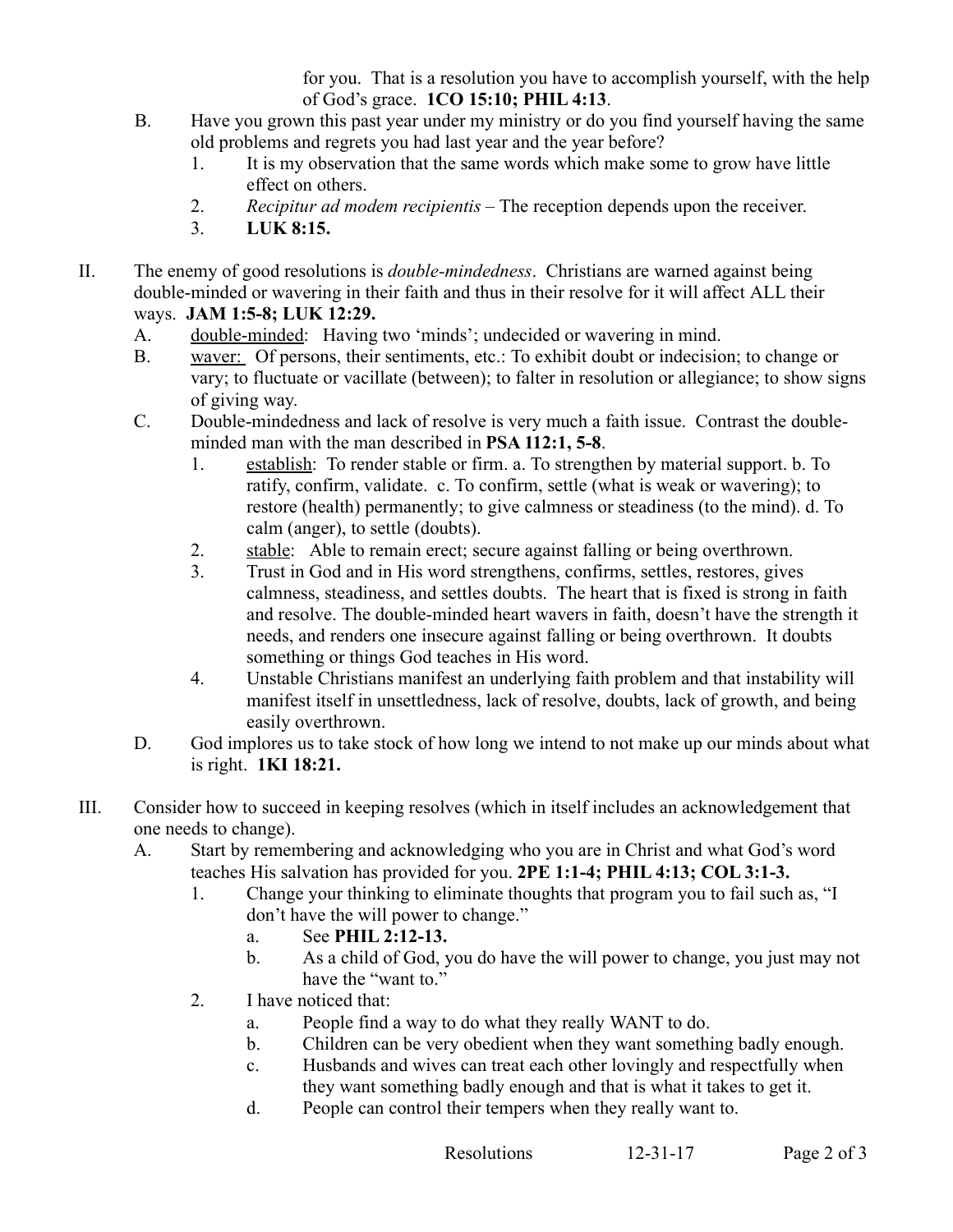for you. That is a resolution you have to accomplish yourself, with the help of God's grace. **1CO 15:10; PHIL 4:13**.

- B. Have you grown this past year under my ministry or do you find yourself having the same old problems and regrets you had last year and the year before?
	- 1. It is my observation that the same words which make some to grow have little effect on others.
	- 2. *Recipitur ad modem recipientis* The reception depends upon the receiver.
	- 3. **LUK 8:15.**
- II. The enemy of good resolutions is *double-mindedness*. Christians are warned against being double-minded or wavering in their faith and thus in their resolve for it will affect ALL their ways. **JAM 1:5-8; LUK 12:29.**
	- A. double-minded: Having two 'minds'; undecided or wavering in mind.
	- B. waver: Of persons, their sentiments, etc.: To exhibit doubt or indecision; to change or vary; to fluctuate or vacillate (between); to falter in resolution or allegiance; to show signs of giving way.
	- C. Double-mindedness and lack of resolve is very much a faith issue. Contrast the doubleminded man with the man described in **PSA 112:1, 5-8**.
		- 1. establish: To render stable or firm. a. To strengthen by material support. b. To ratify, confirm, validate. c. To confirm, settle (what is weak or wavering); to restore (health) permanently; to give calmness or steadiness (to the mind). d. To calm (anger), to settle (doubts).
		- 2. stable: Able to remain erect; secure against falling or being overthrown.
		- 3. Trust in God and in His word strengthens, confirms, settles, restores, gives calmness, steadiness, and settles doubts. The heart that is fixed is strong in faith and resolve. The double-minded heart wavers in faith, doesn't have the strength it needs, and renders one insecure against falling or being overthrown. It doubts something or things God teaches in His word.
		- 4. Unstable Christians manifest an underlying faith problem and that instability will manifest itself in unsettledness, lack of resolve, doubts, lack of growth, and being easily overthrown.
	- D. God implores us to take stock of how long we intend to not make up our minds about what is right. **1KI 18:21.**
- III. Consider how to succeed in keeping resolves (which in itself includes an acknowledgement that one needs to change).
	- A. Start by remembering and acknowledging who you are in Christ and what God's word teaches His salvation has provided for you. **2PE 1:1-4; PHIL 4:13; COL 3:1-3.**
		- 1. Change your thinking to eliminate thoughts that program you to fail such as, "I don't have the will power to change."
			- a. See **PHIL 2:12-13.**
			- b. As a child of God, you do have the will power to change, you just may not have the "want to."
		- 2. I have noticed that:
			- a. People find a way to do what they really WANT to do.
			- b. Children can be very obedient when they want something badly enough.
			- c. Husbands and wives can treat each other lovingly and respectfully when they want something badly enough and that is what it takes to get it.
			- d. People can control their tempers when they really want to.

```
Resolutions 12-31-17 Page 2 of 3
```